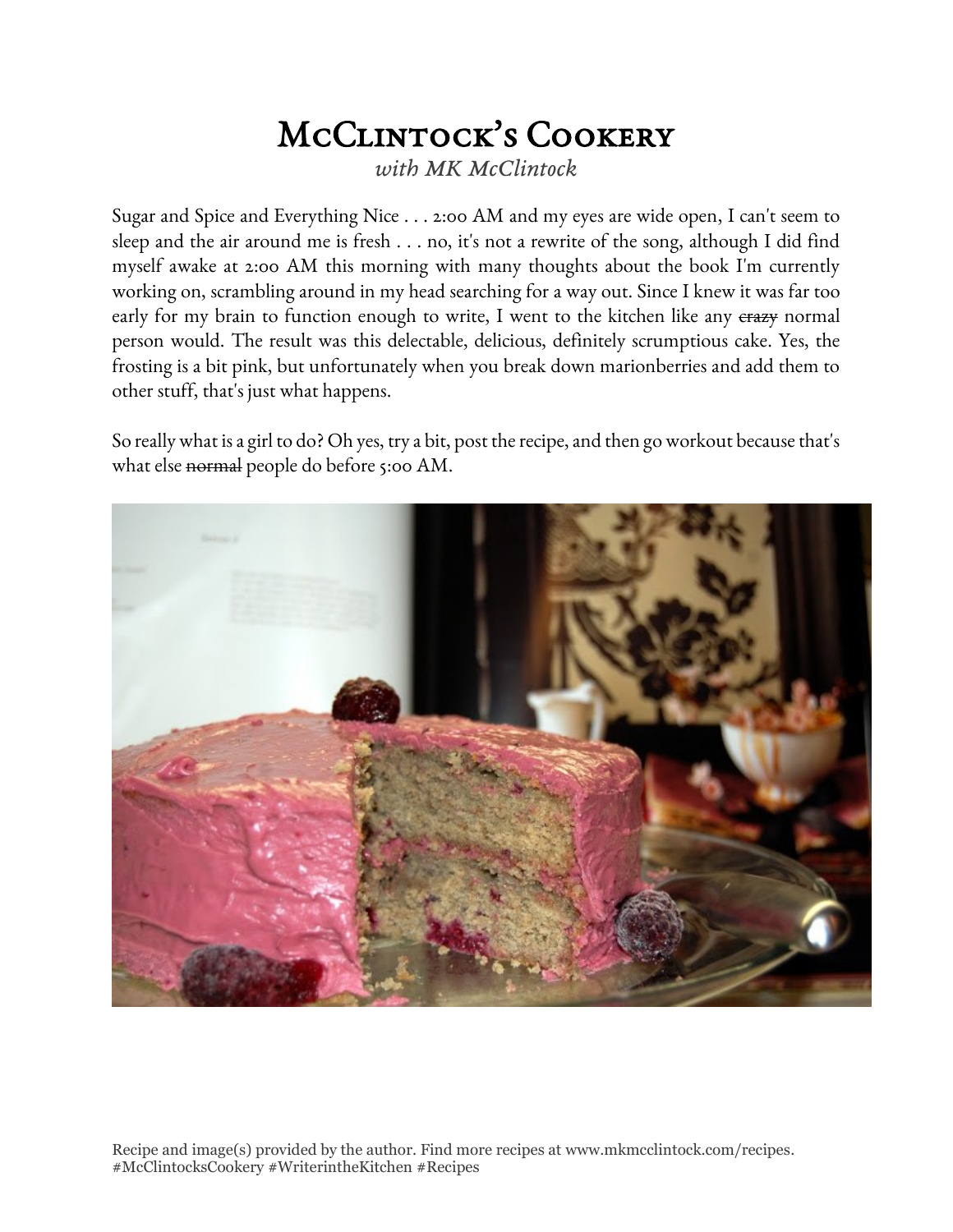## McClintock's Cookery *with MK McClintock*

Sugar and Spice and Everything Nice . . . 2:00 AM and my eyes are wide open, I can't seem to sleep and the air around me is fresh . . . no, it's not a rewrite of the song, although I did find myself awake at 2:00 AM this morning with many thoughts about the book I'm currently working on, scrambling around in my head searching for a way out. Since I knew it was far too early for my brain to function enough to write, I went to the kitchen like any erazy normal person would. The result was this delectable, delicious, definitely scrumptious cake. Yes, the frosting is a bit pink, but unfortunately when you break down marionberries and add them to other stuff, that's just what happens.

So really what is a girl to do? Oh yes, try a bit, post the recipe, and then go workout because that's what else normal people do before 5:00 AM.



Recipe and image(s) provided by the author. Find more recipes at www.mkmcclintock.com/recipes. #McClintocksCookery #WriterintheKitchen #Recipes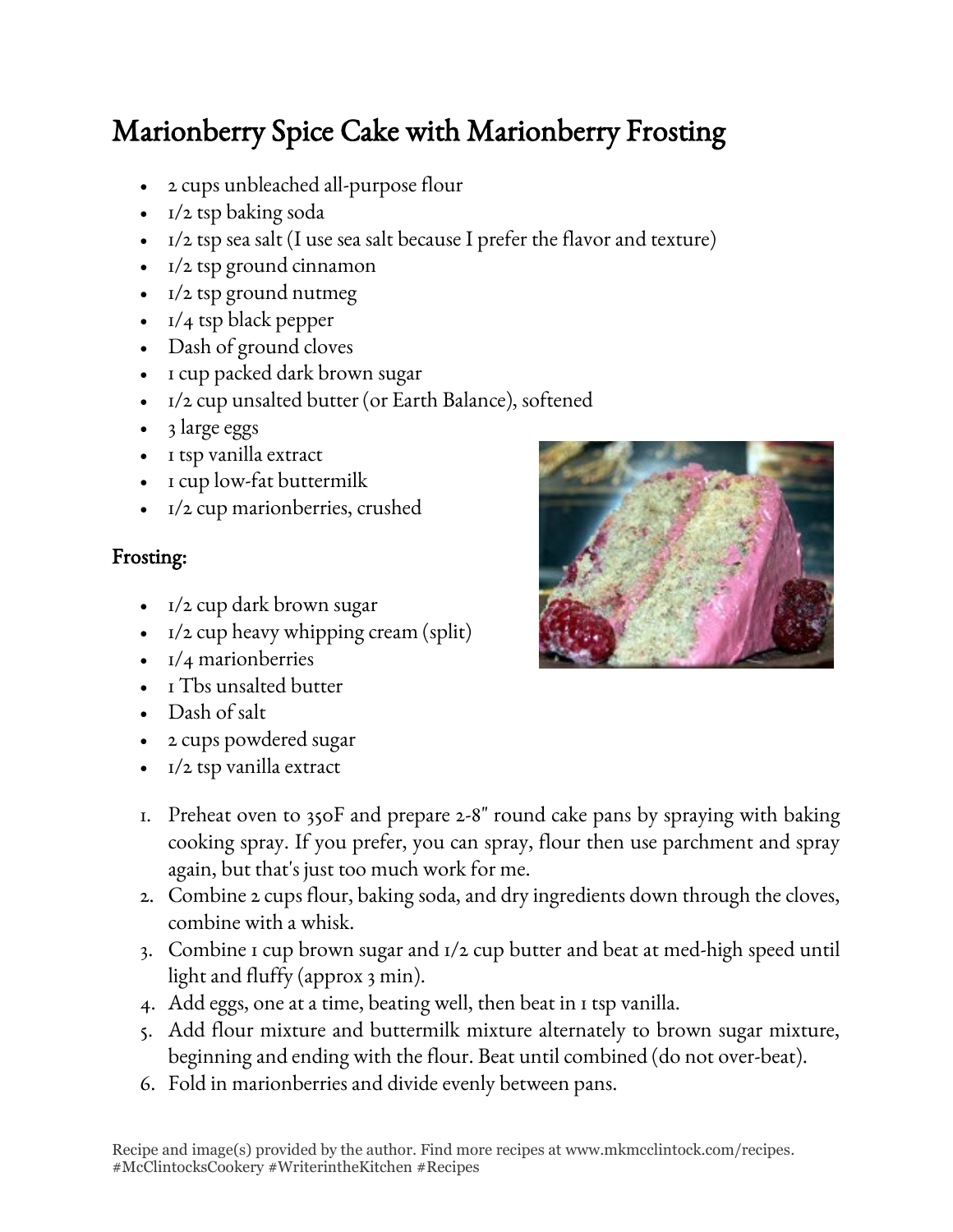## Marionberry Spice Cake with Marionberry Frosting

- 2 cups unbleached all-purpose flour
- I/2 tsp baking soda
- $1/2$  tsp sea salt (I use sea salt because I prefer the flavor and texture)
- $1/2$  tsp ground cinnamon
- I/2 tsp ground nutmeg
- 1/4 tsp black pepper
- Dash of ground cloves
- 1 cup packed dark brown sugar
- 1/2 cup unsalted butter (or Earth Balance), softened
- 3 large eggs
- I tsp vanilla extract
- I cup low-fat buttermilk
- 1/2 cup marionberries, crushed

## Frosting:

- $\frac{1}{2}$  cup dark brown sugar
- $1/2$  cup heavy whipping cream (split)
- I/4 marionberries
- I Tbs unsalted butter
- Dash of salt
- 2 cups powdered sugar
- $\frac{1}{2}$  tsp vanilla extract
- 1. Preheat oven to 350F and prepare 2-8" round cake pans by spraying with baking cooking spray. If you prefer, you can spray, flour then use parchment and spray again, but that's just too much work for me.
- 2. Combine 2 cups flour, baking soda, and dry ingredients down through the cloves, combine with a whisk.
- 3. Combine 1 cup brown sugar and 1/2 cup butter and beat at med-high speed until light and fluffy (approx 3 min).
- 4. Add eggs, one at a time, beating well, then beat in 1 tsp vanilla.
- 5. Add flour mixture and buttermilk mixture alternately to brown sugar mixture, beginning and ending with the flour. Beat until combined (do not over-beat).
- 6. Fold in marionberries and divide evenly between pans.